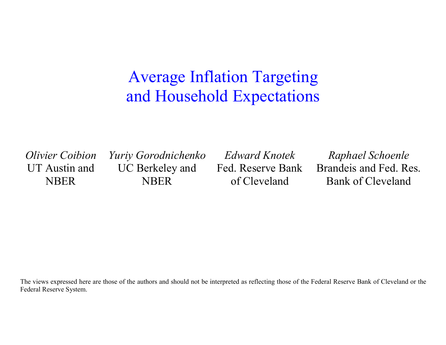UT Austin and NBER

UC Berkeley and **NBER** 

Fed. Reserve Bank of Cleveland

Olivier Coibion Yuriy Gorodnichenko Edward Knotek Raphael Schoenle Brandeis and Fed. Res. Bank of Cleveland

The views expressed here are those of the authors and should not be interpreted as reflecting those of the Federal Reserve Bank of Cleveland or the Federal Reserve System.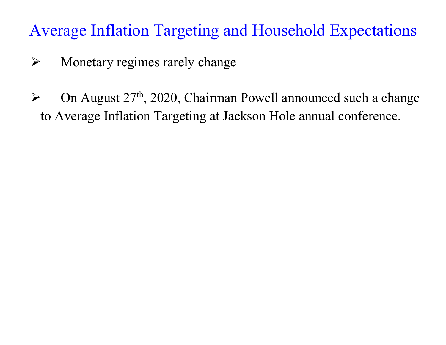- $\triangleright$  Monetary regimes rarely change
- $\triangleright$  On August 27<sup>th</sup>, 2020, Chairman Powell announced such a change to Average Inflation Targeting at Jackson Hole annual conference.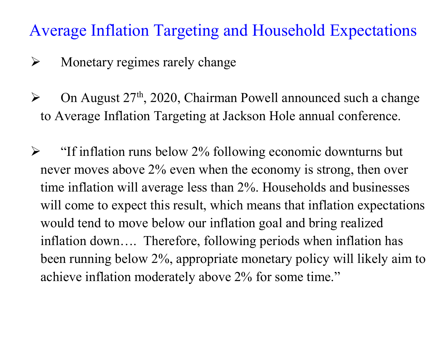- $\triangleright$  Monetary regimes rarely change
- $\triangleright$  On August 27<sup>th</sup>, 2020, Chairman Powell announced such a change to Average Inflation Targeting at Jackson Hole annual conference.
- $\triangleright$  "If inflation runs below 2% following economic downturns but never moves above 2% even when the economy is strong, then over time inflation will average less than 2%. Households and businesses will come to expect this result, which means that inflation expectations would tend to move below our inflation goal and bring realized inflation down…. Therefore, following periods when inflation has been running below 2%, appropriate monetary policy will likely aim to achieve inflation moderately above 2% for some time."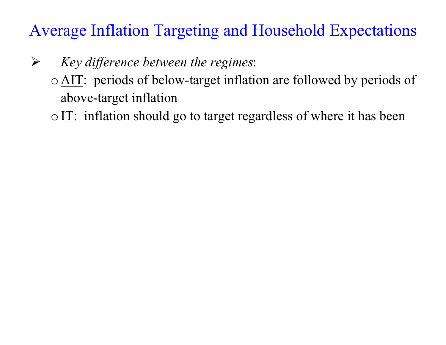- $\triangleright$  Key difference between the regimes:
	- $\circ$  AIT: periods of below-target inflation are followed by periods of above-target inflation
	- oIT: inflation should go to target regardless of where it has been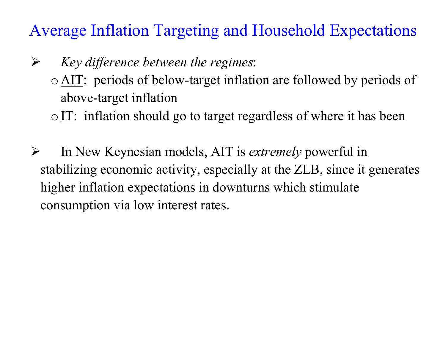- $\triangleright$  Key difference between the regimes:
	- $\circ$  AIT: periods of below-target inflation are followed by periods of above-target inflation
	- oIT: inflation should go to target regardless of where it has been
- $\triangleright$  In New Keynesian models, AIT is *extremely* powerful in stabilizing economic activity, especially at the ZLB, since it generates higher inflation expectations in downturns which stimulate consumption via low interest rates.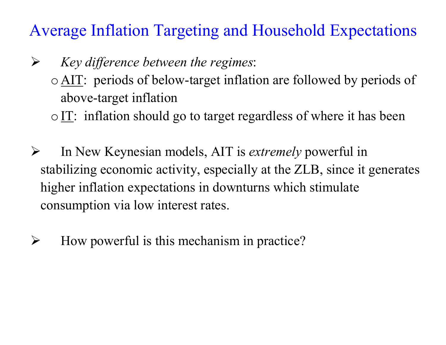- $\triangleright$  Key difference between the regimes:
	- o AIT: periods of below-target inflation are followed by periods of above-target inflation
	- oIT: inflation should go to target regardless of where it has been
- $\triangleright$  In New Keynesian models, AIT is *extremely* powerful in stabilizing economic activity, especially at the ZLB, since it generates higher inflation expectations in downturns which stimulate consumption via low interest rates.
- $\triangleright$  How powerful is this mechanism in practice?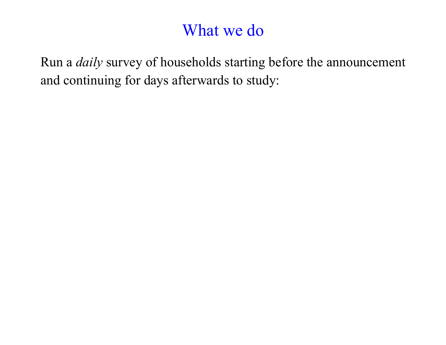Run a daily survey of households starting before the announcement and continuing for days afterwards to study: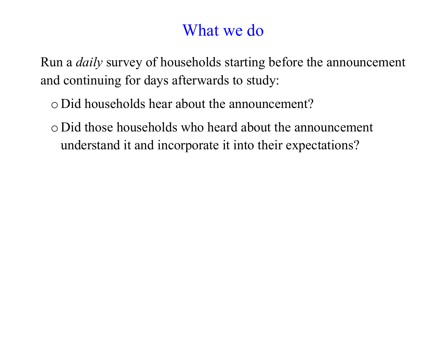Run a *daily* survey of households starting before the announcement and continuing for days afterwards to study:

- o Did households hear about the announcement?
- o Did those households who heard about the announcement understand it and incorporate it into their expectations?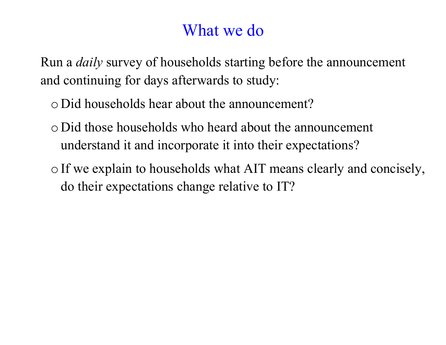Run a daily survey of households starting before the announcement and continuing for days afterwards to study:

- o Did households hear about the announcement?
- o Did those households who heard about the announcement understand it and incorporate it into their expectations?
- oIf we explain to households what AIT means clearly and concisely, do their expectations change relative to IT?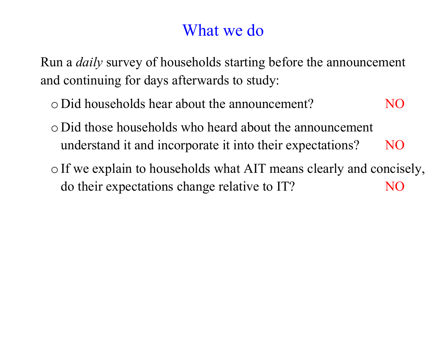Run a daily survey of households starting before the announcement and continuing for days afterwards to study:

- o Did households hear about the announcement? NO
- o Did those households who heard about the announcement understand it and incorporate it into their expectations? NO
- oIf we explain to households what AIT means clearly and concisely, do their expectations change relative to IT?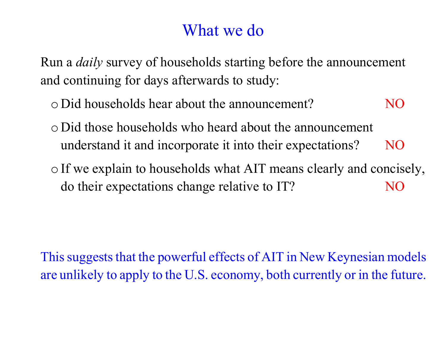Run a daily survey of households starting before the announcement and continuing for days afterwards to study:

- o Did households hear about the announcement? NO
- o Did those households who heard about the announcement understand it and incorporate it into their expectations? NO
- oIf we explain to households what AIT means clearly and concisely, do their expectations change relative to IT?

This suggests that the powerful effects of AIT in New Keynesian models are unlikely to apply to the U.S. economy, both currently or in the future.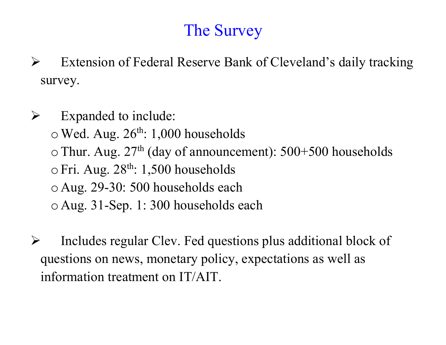# The Survey

- Extension of Federal Reserve Bank of Cleveland's daily tracking survey.
- $\triangleright$  Expanded to include:  $\circ$  Wed. Aug. 26<sup>th</sup>: 1,000 households  $\circ$  Thur. Aug. 27<sup>th</sup> (day of announcement): 500+500 households  $\circ$  Fri. Aug. 28<sup>th</sup>: 1,500 households o Aug. 29-30: 500 households each o Aug. 31-Sep. 1: 300 households each
- $\triangleright$  Includes regular Clev. Fed questions plus additional block of questions on news, monetary policy, expectations as well as information treatment on IT/AIT.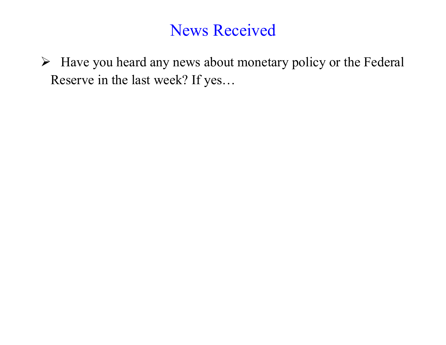$\triangleright$  Have you heard any news about monetary policy or the Federal Reserve in the last week? If yes…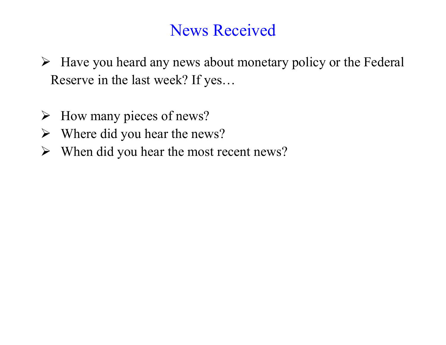- $\triangleright$  Have you heard any news about monetary policy or the Federal Reserve in the last week? If yes…
- $\triangleright$  How many pieces of news?
- $\triangleright$  Where did you hear the news?
- $\triangleright$  When did you hear the most recent news?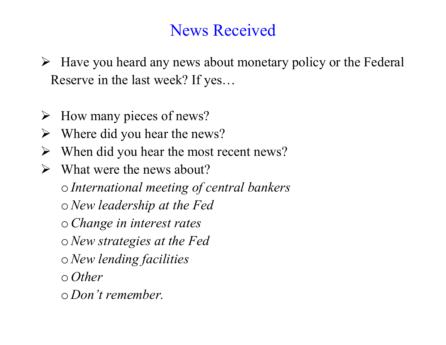- $\triangleright$  Have you heard any news about monetary policy or the Federal Reserve in the last week? If yes…
- $\triangleright$  How many pieces of news?
- $\triangleright$  Where did you hear the news?
- $\triangleright$  When did you hear the most recent news?
- $\triangleright$  What were the news about?

oInternational meeting of central bankers oNew leadership at the Fed oChange in interest rates oNew strategies at the Fed oNew lending facilities o Other

o Don't remember.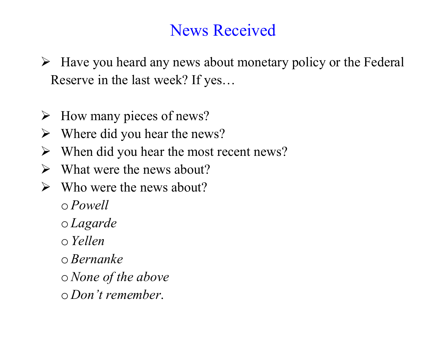- $\triangleright$  Have you heard any news about monetary policy or the Federal Reserve in the last week? If yes…
- $\triangleright$  How many pieces of news?
- $\triangleright$  Where did you hear the news?
- $\triangleright$  When did you hear the most recent news?
- $\triangleright$  What were the news about?
- $\triangleright$  Who were the news about?
	- oPowell
	- oLagarde
	- oYellen
	- $\circ$  Bernanke
	- oNone of the above o Don't remember.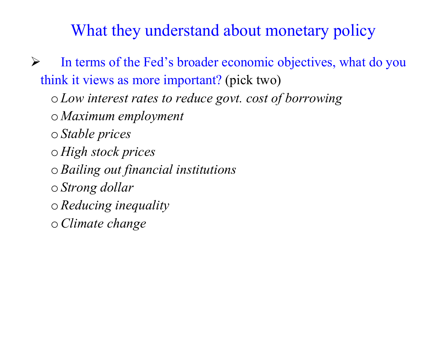What they understand about monetary policy

- $\triangleright$  In terms of the Fed's broader economic objectives, what do you think it views as more important? (pick two)
	- oLow interest rates to reduce govt. cost of borrowing
	- o Maximum employment
	- oStable prices
	- o High stock prices
	- $\circ$  Bailing out financial institutions
	- oStrong dollar
	- $\circ$  Reducing inequality
	- oClimate change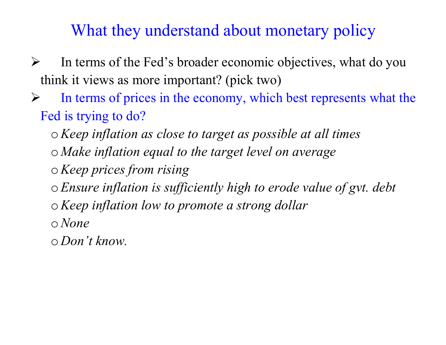#### What they understand about monetary policy

- $\triangleright$  In terms of the Fed's broader economic objectives, what do you think it views as more important? (pick two)
- $\triangleright$  In terms of prices in the economy, which best represents what the Fed is trying to do?
	- oKeep inflation as close to target as possible at all times
	- o Make inflation equal to the target level on average
	- oKeep prices from rising
	- oEnsure inflation is sufficiently high to erode value of gvt. debt
	- oKeep inflation low to promote a strong dollar
	- $\circ$  None
	- o Don't know.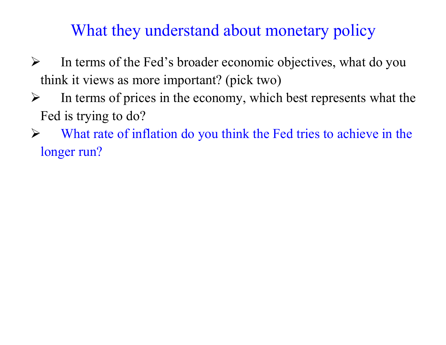### What they understand about monetary policy

- $\triangleright$  In terms of the Fed's broader economic objectives, what do you think it views as more important? (pick two)
- $\triangleright$  In terms of prices in the economy, which best represents what the Fed is trying to do?
- $\triangleright$  What rate of inflation do you think the Fed tries to achieve in the longer run?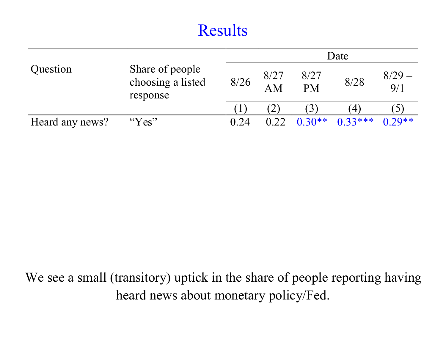|                 |                                                  | Date   |            |                   |                                         |                |  |
|-----------------|--------------------------------------------------|--------|------------|-------------------|-----------------------------------------|----------------|--|
| Question        | Share of people<br>choosing a listed<br>response | $8/26$ | 8/27<br>AM | 8/27<br><b>PM</b> | 8/28                                    | $8/29-$<br>9/1 |  |
|                 |                                                  |        |            |                   | 4                                       |                |  |
| Heard any news? | " $Yes"$                                         | 0.24   |            |                   | $0.22 \quad 0.30^{**} \quad 0.33^{***}$ | $0.29**$       |  |

We see a small (transitory) uptick in the share of people reporting having heard news about monetary policy/Fed.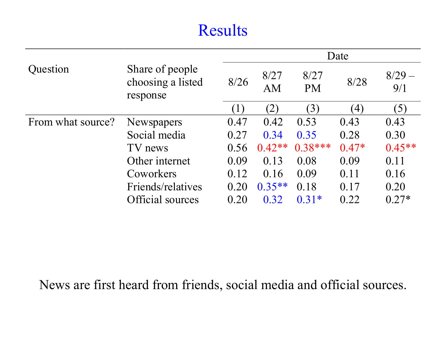|                   |                                                  | Date   |            |                   |                   |                |
|-------------------|--------------------------------------------------|--------|------------|-------------------|-------------------|----------------|
| Question          | Share of people<br>choosing a listed<br>response | $8/26$ | 8/27<br>AM | 8/27<br><b>PM</b> | 8/28              | $8/29-$<br>9/1 |
|                   |                                                  | (1)    | (2)        | (3)               | $\left( 4\right)$ | (5)            |
| From what source? | Newspapers                                       | 0.47   | 0.42       | 0.53              | 0.43              | 0.43           |
|                   | Social media                                     | 0.27   | 0.34       | 0.35              | 0.28              | 0.30           |
|                   | TV news                                          | 0.56   | $0.42**$   | $0.38***$         | $0.47*$           | $0.45**$       |
|                   | Other internet                                   | 0.09   | 0.13       | 0.08              | 0.09              | 0.11           |
|                   | Coworkers                                        | 0.12   | 0.16       | 0.09              | 0.11              | 0.16           |
|                   | Friends/relatives                                | 0.20   | $0.35**$   | 0.18              | 0.17              | 0.20           |
|                   | <b>Official sources</b>                          | 0.20   | 0.32       | $0.31*$           | 0.22              | $0.27*$        |

News are first heard from friends, social media and official sources.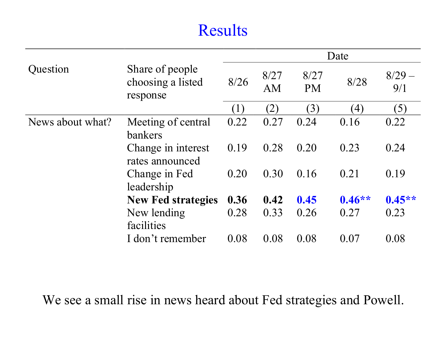|                  |                                                  | Date |                   |                   |          |                |
|------------------|--------------------------------------------------|------|-------------------|-------------------|----------|----------------|
| Question         | Share of people<br>choosing a listed<br>response | 8/26 | 8/27<br><b>AM</b> | 8/27<br><b>PM</b> | 8/28     | $8/29-$<br>9/1 |
|                  |                                                  | (1)  | (2)               | (3)               | (4)      | (5)            |
| News about what? | Meeting of central<br>bankers                    | 0.22 | 0.27              | 0.24              | 0.16     | 0.22           |
|                  | Change in interest<br>rates announced            | 0.19 | 0.28              | 0.20              | 0.23     | 0.24           |
|                  | Change in Fed<br>leadership                      | 0.20 | 0.30              | 0.16              | 0.21     | 0.19           |
|                  | <b>New Fed strategies</b>                        | 0.36 | 0.42              | 0.45              | $0.46**$ | $0.45***$      |
|                  | New lending<br>facilities                        | 0.28 | 0.33              | 0.26              | 0.27     | 0.23           |
|                  | I don't remember                                 | 0.08 | 0.08              | 0.08              | 0.07     | 0.08           |

We see a small rise in news heard about Fed strategies and Powell.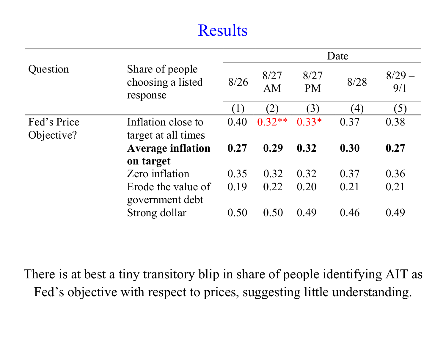|                           |                                                  | Date |            |                   |                     |                |
|---------------------------|--------------------------------------------------|------|------------|-------------------|---------------------|----------------|
| Question                  | Share of people<br>choosing a listed<br>response | 8/26 | 8/27<br>AM | 8/27<br><b>PM</b> | 8/28                | $8/29-$<br>9/1 |
|                           |                                                  | (1)  | (2)        | $\mathfrak{Z}$    | $\langle 4 \rangle$ | (5)            |
| Fed's Price<br>Objective? | Inflation close to<br>target at all times        | 0.40 | $0.32**$   | $0.33*$           | 0.37                | 0.38           |
|                           | <b>Average inflation</b><br>on target            | 0.27 | 0.29       | 0.32              | 0.30                | 0.27           |
|                           | Zero inflation                                   | 0.35 | 0.32       | 0.32              | 0.37                | 0.36           |
|                           | Erode the value of<br>government debt            | 0.19 | 0.22       | 0.20              | 0.21                | 0.21           |
|                           | Strong dollar                                    | 0.50 | 0.50       | 0.49              | 0.46                | 0.49           |

There is at best a tiny transitory blip in share of people identifying AIT as Fed's objective with respect to prices, suggesting little understanding.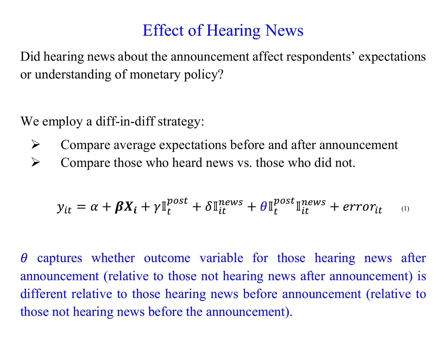# Effect of Hearing News

Did hearing news about the announcement affect respondents' expectations or understanding of monetary policy?

We employ a diff-in-diff strategy:

- $\triangleright$  Compare average expectations before and after announcement
- $\triangleright$  Compare those who heard news vs. those who did not.

$$
y_{it} = \alpha + \beta X_i + \gamma I_t^{post} + \delta I_{it}^{news} + \theta I_t^{post} I_{it}^{news} + error_{it} \qquad (1)
$$

 $\theta$  captures whether outcome variable for those hearing news after announcement (relative to those not hearing news after announcement) is different relative to those hearing news before announcement (relative to those not hearing news before the announcement).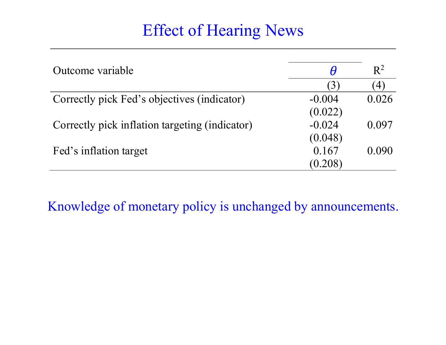# Effect of Hearing News

| Outcome variable                               | Η        | $R^2$ |
|------------------------------------------------|----------|-------|
|                                                | 3        | 4     |
| Correctly pick Fed's objectives (indicator)    | $-0.004$ | 0.026 |
|                                                | (0.022)  |       |
| Correctly pick inflation targeting (indicator) | $-0.024$ | 0.097 |
|                                                | (0.048)  |       |
| Fed's inflation target                         | 0.167    | 0.090 |
|                                                | (0.208)  |       |

Knowledge of monetary policy is unchanged by announcements.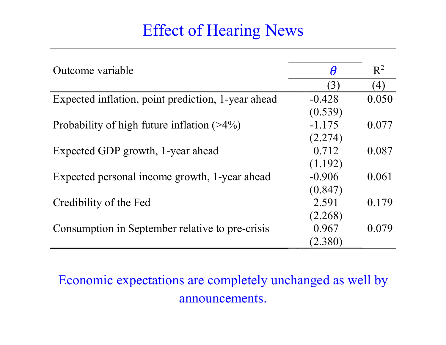# Effect of Hearing News

| Outcome variable                                   | $\theta$ | $R^2$ |
|----------------------------------------------------|----------|-------|
|                                                    | (3)      | (4)   |
| Expected inflation, point prediction, 1-year ahead | $-0.428$ | 0.050 |
|                                                    | (0.539)  |       |
| Probability of high future inflation $($ >4%)      | $-1.175$ | 0.077 |
|                                                    | (2.274)  |       |
| Expected GDP growth, 1-year ahead                  | 0.712    | 0.087 |
|                                                    | (1.192)  |       |
| Expected personal income growth, 1-year ahead      | $-0.906$ | 0.061 |
|                                                    | (0.847)  |       |
| Credibility of the Fed                             | 2.591    | 0.179 |
|                                                    | (2.268)  |       |
| Consumption in September relative to pre-crisis    | 0.967    | 0.079 |
|                                                    | (2.380)  |       |

#### Economic expectations are completely unchanged as well by announcements.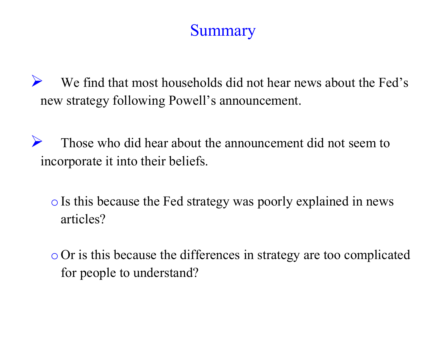# **Summary**

 $\triangleright$  We find that most households did not hear news about the Fed's new strategy following Powell's announcement.

- $\triangleright$  Those who did hear about the announcement did not seem to incorporate it into their beliefs.
	- oIs this because the Fed strategy was poorly explained in news articles?
	- o Or is this because the differences in strategy are too complicated for people to understand?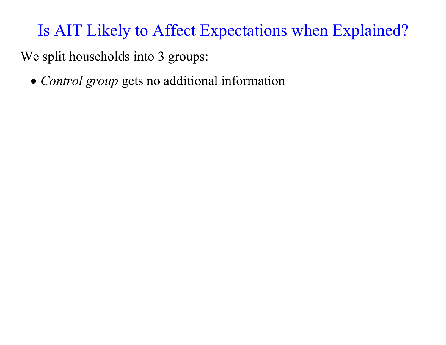We split households into 3 groups:

• Control group gets no additional information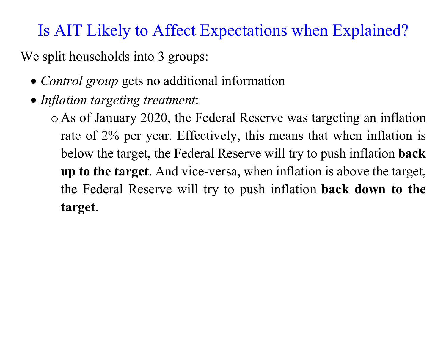We split households into 3 groups:

- *Control group* gets no additional information
- Inflation targeting treatment:
	- o As of January 2020, the Federal Reserve was targeting an inflation rate of 2% per year. Effectively, this means that when inflation is below the target, the Federal Reserve will try to push inflation **back** up to the target. And vice-versa, when inflation is above the target, the Federal Reserve will try to push inflation back down to the target.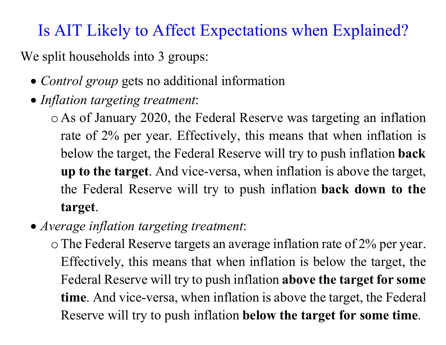We split households into 3 groups:

- *Control group* gets no additional information
- Inflation targeting treatment:
	- o As of January 2020, the Federal Reserve was targeting an inflation rate of 2% per year. Effectively, this means that when inflation is below the target, the Federal Reserve will try to push inflation back up to the target. And vice-versa, when inflation is above the target, the Federal Reserve will try to push inflation back down to the target.
- Average inflation targeting treatment:
	- oThe Federal Reserve targets an average inflation rate of 2% per year. Effectively, this means that when inflation is below the target, the Federal Reserve will try to push inflation above the target for some time. And vice-versa, when inflation is above the target, the Federal Reserve will try to push inflation below the target for some time.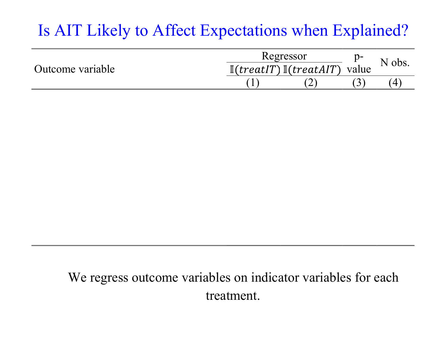|                  | Regressor                                          |  | $\cdot$ obs. |
|------------------|----------------------------------------------------|--|--------------|
| Outcome variable | $\mathbb{I}(treatIT)$ $\mathbb{I}(treatAIT)$ value |  |              |
|                  |                                                    |  |              |

We regress outcome variables on indicator variables for each treatment.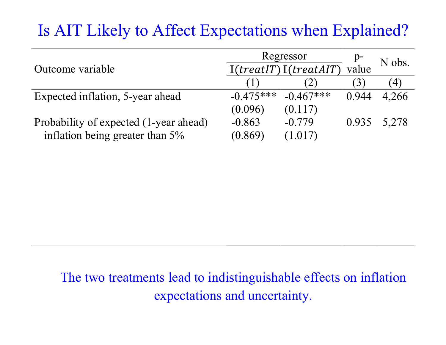|                                        | Regressor   |                                              | N obs. |             |
|----------------------------------------|-------------|----------------------------------------------|--------|-------------|
| Outcome variable                       |             | $\mathbb{I}(treatIT)$ $\mathbb{I}(treatAIT)$ | value  |             |
|                                        |             |                                              |        |             |
| Expected inflation, 5-year ahead       | $-0.475***$ | $-0.467***$                                  | 0.944  | 4.266       |
|                                        | (0.096)     | (0.117)                                      |        |             |
| Probability of expected (1-year ahead) | $-0.863$    | $-0.779$                                     |        | 0.935 5.278 |
| inflation being greater than 5%        | (0.869)     | (1.017)                                      |        |             |

The two treatments lead to indistinguishable effects on inflation expectations and uncertainty.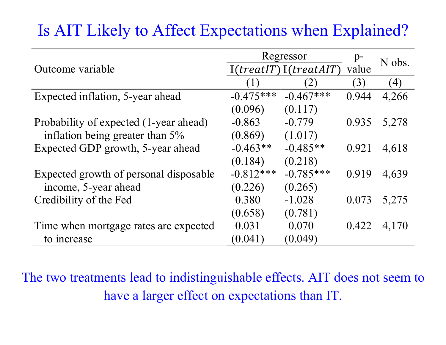|                                        | Regressor   | $p-$                                         | N obs. |       |
|----------------------------------------|-------------|----------------------------------------------|--------|-------|
| Outcome variable                       |             | $\mathbb{I}(treatIT)$ $\mathbb{I}(treatAIT)$ | value  |       |
|                                        |             | (2)                                          | (3)    | (4)   |
| Expected inflation, 5-year ahead       | $-0.475***$ | $-0.467***$                                  | 0.944  | 4,266 |
|                                        | (0.096)     | (0.117)                                      |        |       |
| Probability of expected (1-year ahead) | $-0.863$    | $-0.779$                                     | 0.935  | 5,278 |
| inflation being greater than 5%        | (0.869)     | (1.017)                                      |        |       |
| Expected GDP growth, 5-year ahead      | $-0.463**$  | $-0.485**$                                   | 0.921  | 4,618 |
|                                        | (0.184)     | (0.218)                                      |        |       |
| Expected growth of personal disposable | $-0.812***$ | $-0.785***$                                  | 0.919  | 4,639 |
| income, 5-year ahead                   | (0.226)     | (0.265)                                      |        |       |
| Credibility of the Fed                 | 0.380       | $-1.028$                                     | 0.073  | 5,275 |
|                                        | (0.658)     | (0.781)                                      |        |       |
| Time when mortgage rates are expected  | 0.031       | 0.070                                        | 0.422  | 4,170 |
| to increase                            | (0.041)     | (0.049)                                      |        |       |

The two treatments lead to indistinguishable effects. AIT does not seem to have a larger effect on expectations than IT.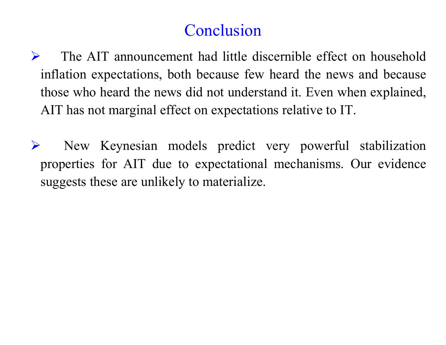# Conclusion

- $\triangleright$  The AIT announcement had little discernible effect on household inflation expectations, both because few heard the news and because those who heard the news did not understand it. Even when explained, AIT has not marginal effect on expectations relative to IT.
- New Keynesian models predict very powerful stabilization properties for AIT due to expectational mechanisms. Our evidence suggests these are unlikely to materialize.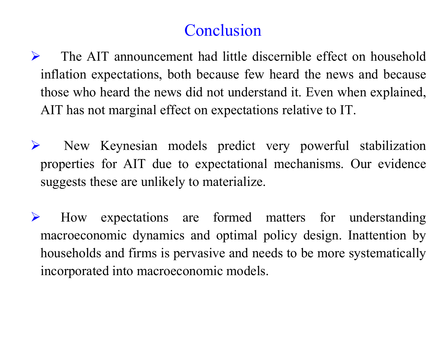# Conclusion

- $\triangleright$  The AIT announcement had little discernible effect on household inflation expectations, both because few heard the news and because those who heard the news did not understand it. Even when explained, AIT has not marginal effect on expectations relative to IT.
- New Keynesian models predict very powerful stabilization properties for AIT due to expectational mechanisms. Our evidence suggests these are unlikely to materialize.
- $\triangleright$  How expectations are formed matters for understanding macroeconomic dynamics and optimal policy design. Inattention by households and firms is pervasive and needs to be more systematically incorporated into macroeconomic models.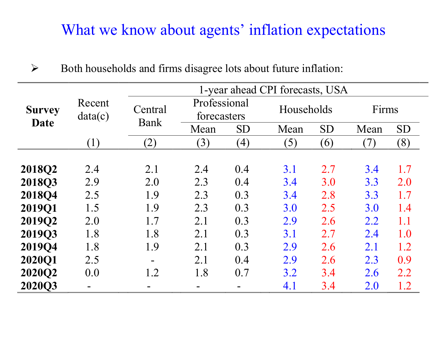|               |                   | 1-year ahead CPI forecasts, USA |      |                             |      |            |      |           |
|---------------|-------------------|---------------------------------|------|-----------------------------|------|------------|------|-----------|
| <b>Survey</b> | Recent<br>data(c) | Central                         |      | Professional<br>forecasters |      | Households |      | Firms     |
| Date          |                   | <b>Bank</b>                     | Mean | <b>SD</b>                   | Mean | <b>SD</b>  | Mean | <b>SD</b> |
|               | (1)               | (2)                             | (3)  | (4)                         | (5)  | (6)        | (7)  | (8)       |
|               |                   |                                 |      |                             |      |            |      |           |
| 2018Q2        | 2.4               | 2.1                             | 2.4  | 0.4                         | 3.1  | 2.7        | 3.4  | 1.7       |
| <b>2018O3</b> | 2.9               | 2.0                             | 2.3  | 0.4                         | 3.4  | 3.0        | 3.3  | 2.0       |
| 2018Q4        | 2.5               | 1.9                             | 2.3  | 0.3                         | 3.4  | 2.8        | 3.3  | 1.7       |
| 2019Q1        | 1.5               | 1.9                             | 2.3  | 0.3                         | 3.0  | 2.5        | 3.0  | 1.4       |
| 2019Q2        | 2.0               | 1.7                             | 2.1  | 0.3                         | 2.9  | 2.6        | 2.2  | 1.1       |
| 2019Q3        | 1.8               | 1.8                             | 2.1  | 0.3                         | 3.1  | 2.7        | 2.4  | 1.0       |
| 2019Q4        | 1.8               | 1.9                             | 2.1  | 0.3                         | 2.9  | 2.6        | 2.1  | 1.2       |
| <b>2020Q1</b> | 2.5               |                                 | 2.1  | 0.4                         | 2.9  | 2.6        | 2.3  | 0.9       |
| 2020Q2        | 0.0               | 1.2                             | 1.8  | 0.7                         | 3.2  | 3.4        | 2.6  | 2.2       |
| 2020Q3        |                   |                                 |      |                             | 4.1  | 3.4        | 2.0  | 1.2       |

Both households and firms disagree lots about future inflation: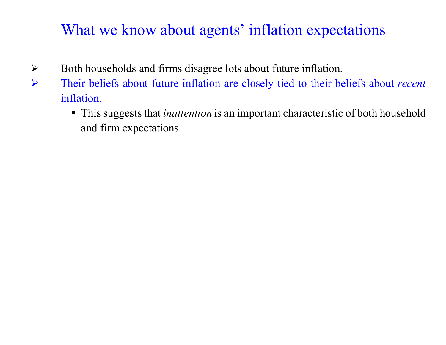- $\triangleright$  Both households and firms disagree lots about future inflation.
- $\triangleright$  Their beliefs about future inflation are closely tied to their beliefs about *recent* inflation.
	- This suggests that *inattention* is an important characteristic of both household and firm expectations.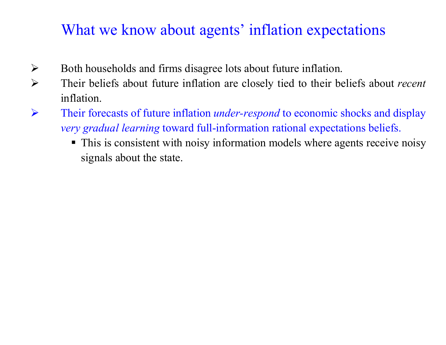- $\triangleright$  Both households and firms disagree lots about future inflation.
- $\triangleright$  Their beliefs about future inflation are closely tied to their beliefs about *recent* inflation.
- $\triangleright$  Their forecasts of future inflation *under-respond* to economic shocks and display very gradual learning toward full-information rational expectations beliefs.
	- This is consistent with noisy information models where agents receive noisy signals about the state.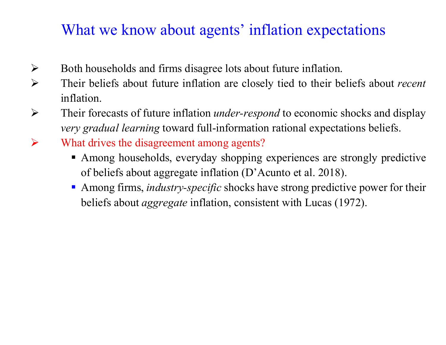- $\triangleright$  Both households and firms disagree lots about future inflation.
- $\triangleright$  Their beliefs about future inflation are closely tied to their beliefs about *recent* inflation.
- $\triangleright$  Their forecasts of future inflation *under-respond* to economic shocks and display very gradual learning toward full-information rational expectations beliefs.
- $\triangleright$  What drives the disagreement among agents?
	- Among households, everyday shopping experiences are strongly predictive of beliefs about aggregate inflation (D'Acunto et al. 2018).
	- Among firms, *industry-specific* shocks have strong predictive power for their beliefs about *aggregate* inflation, consistent with Lucas (1972).